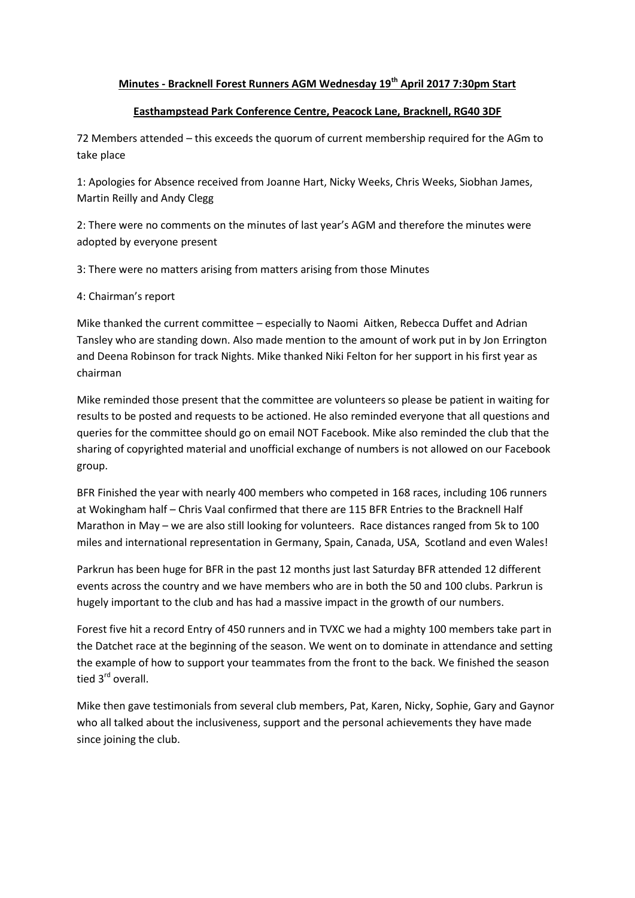## **Minutes - Bracknell Forest Runners AGM Wednesday 19th April 2017 7:30pm Start**

## **Easthampstead Park Conference Centre, Peacock Lane, Bracknell, RG40 3DF**

72 Members attended – this exceeds the quorum of current membership required for the AGm to take place

1: Apologies for Absence received from Joanne Hart, Nicky Weeks, Chris Weeks, Siobhan James, Martin Reilly and Andy Clegg

2: There were no comments on the minutes of last year's AGM and therefore the minutes were adopted by everyone present

3: There were no matters arising from matters arising from those Minutes

## 4: Chairman's report

Mike thanked the current committee – especially to Naomi Aitken, Rebecca Duffet and Adrian Tansley who are standing down. Also made mention to the amount of work put in by Jon Errington and Deena Robinson for track Nights. Mike thanked Niki Felton for her support in his first year as chairman

Mike reminded those present that the committee are volunteers so please be patient in waiting for results to be posted and requests to be actioned. He also reminded everyone that all questions and queries for the committee should go on email NOT Facebook. Mike also reminded the club that the sharing of copyrighted material and unofficial exchange of numbers is not allowed on our Facebook group.

BFR Finished the year with nearly 400 members who competed in 168 races, including 106 runners at Wokingham half – Chris Vaal confirmed that there are 115 BFR Entries to the Bracknell Half Marathon in May – we are also still looking for volunteers. Race distances ranged from 5k to 100 miles and international representation in Germany, Spain, Canada, USA, Scotland and even Wales!

Parkrun has been huge for BFR in the past 12 months just last Saturday BFR attended 12 different events across the country and we have members who are in both the 50 and 100 clubs. Parkrun is hugely important to the club and has had a massive impact in the growth of our numbers.

Forest five hit a record Entry of 450 runners and in TVXC we had a mighty 100 members take part in the Datchet race at the beginning of the season. We went on to dominate in attendance and setting the example of how to support your teammates from the front to the back. We finished the season tied 3<sup>rd</sup> overall.

Mike then gave testimonials from several club members, Pat, Karen, Nicky, Sophie, Gary and Gaynor who all talked about the inclusiveness, support and the personal achievements they have made since joining the club.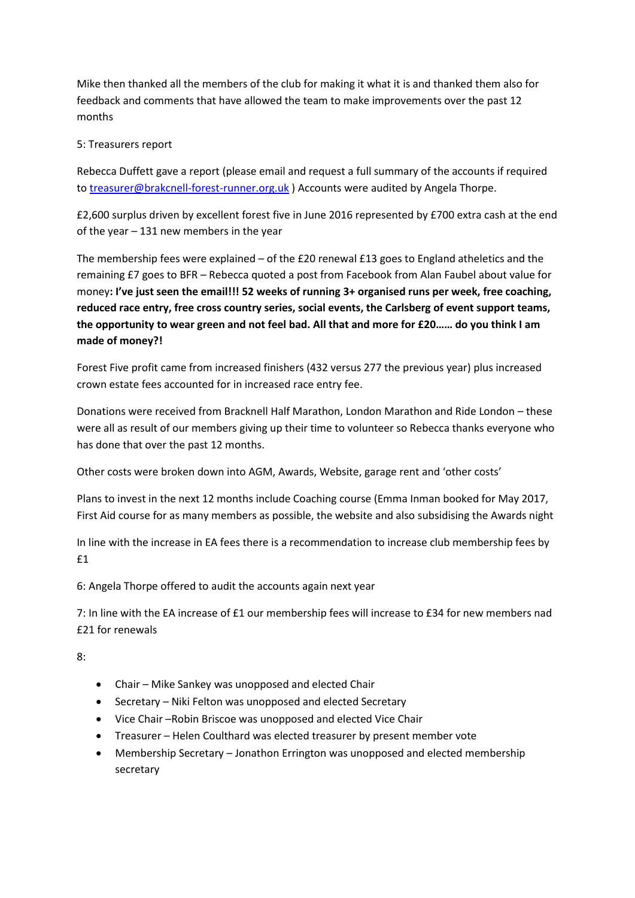Mike then thanked all the members of the club for making it what it is and thanked them also for feedback and comments that have allowed the team to make improvements over the past 12 months

## 5: Treasurers report

Rebecca Duffett gave a report (please email and request a full summary of the accounts if required to [treasurer@brakcnell-forest-runner.org.uk](mailto:treasurer@brakcnell-forest-runner.org.uk) ) Accounts were audited by Angela Thorpe.

£2,600 surplus driven by excellent forest five in June 2016 represented by £700 extra cash at the end of the year – 131 new members in the year

The membership fees were explained – of the £20 renewal £13 goes to England atheletics and the remaining £7 goes to BFR – Rebecca quoted a post from Facebook from Alan Faubel about value for money**: I've just seen the email!!! 52 weeks of running 3+ organised runs per week, free coaching, reduced race entry, free cross country series, social events, the Carlsberg of event support teams, the opportunity to wear green and not feel bad. All that and more for £20…… do you think I am made of money?!**

Forest Five profit came from increased finishers (432 versus 277 the previous year) plus increased crown estate fees accounted for in increased race entry fee.

Donations were received from Bracknell Half Marathon, London Marathon and Ride London – these were all as result of our members giving up their time to volunteer so Rebecca thanks everyone who has done that over the past 12 months.

Other costs were broken down into AGM, Awards, Website, garage rent and 'other costs'

Plans to invest in the next 12 months include Coaching course (Emma Inman booked for May 2017, First Aid course for as many members as possible, the website and also subsidising the Awards night

In line with the increase in EA fees there is a recommendation to increase club membership fees by £1

6: Angela Thorpe offered to audit the accounts again next year

7: In line with the EA increase of £1 our membership fees will increase to £34 for new members nad £21 for renewals

8:

- Chair Mike Sankey was unopposed and elected Chair
- Secretary Niki Felton was unopposed and elected Secretary
- Vice Chair –Robin Briscoe was unopposed and elected Vice Chair
- Treasurer Helen Coulthard was elected treasurer by present member vote
- Membership Secretary Jonathon Errington was unopposed and elected membership secretary